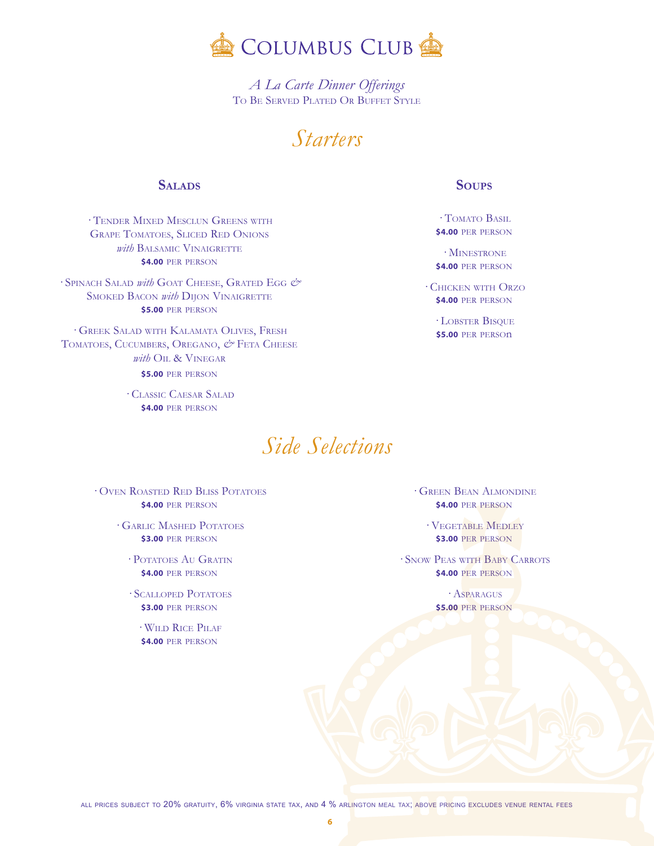

A La Carte Dinner Offerings TO BE SERVED PLATED OR BUFFET STYLE

## *Starters*

## **SALADS**

· TENDER MIXED MESCLUN GREENS WITH **GRAPE TOMATOES, SLICED RED ONIONS** with BALSAMIC VINAIGRETTE **\$4.00 PER PERSON** 

· SPINACH SALAD with GOAT CHEESE, GRATED EGG & **SMOKED BACON with DIION VINAIGRETTE** \$5.00 PER PERSON

· GREEK SALAD WITH KALAMATA OLIVES, FRESH TOMATOES, CUCUMBERS, OREGANO, & FETA CHEESE with OIL & VINEGAR \$5.00 PER PERSON

> · CLASSIC CAESAR SALAD \$4.00 PER PERSON

## Side Selections

· OVEN ROASTED RED BLISS POTATOES **\$4.00 PER PERSON** 

- $\cdot$  GARLIC MASHED POTATOES **\$3.00 PER PERSON** 
	- · POTATOES AU GRATIN **\$4.00 PER PERSON**
	- $\cdot$  SCALLOPED POTATOES **\$3.00 PER PERSON**

 $\cdot$ WILD RICE PILAF \$4.00 PER PERSON

## **SOUPS**

· TOMATO BASIL \$4.00 PER PERSON

 $\cdot$  MINESTRONE \$4.00 PER PERSON

· CHICKEN WITH ORZO **\$4.00 PER PERSON** 

> · LOBSTER BISQUE **\$5.00 PER PERSON**

**GREEN BEAN ALMONDINE \$4.00 PER PERSON** 

 $\cdot$  VEGETABLE MEDLEY **\$3.00 PER PERSON** 

· SNOW PEAS WITH BABY CARROTS **\$4.00 PER PERSON** 

> · ASPARAGUS **\$5.00 PER PERSON**